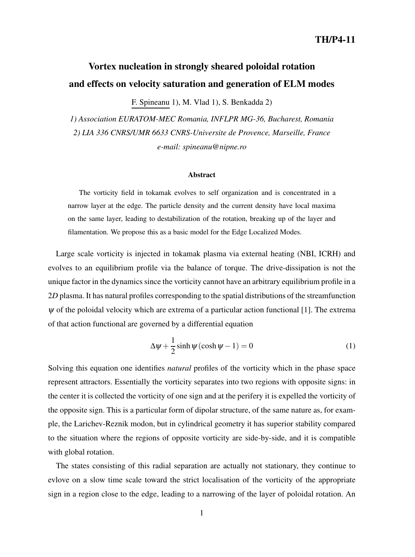# **Vortex nucleation in strongly sheared poloidal rotation and effects on velocity saturation and generation of ELM modes**

F. Spineanu 1), M. Vlad 1), S. Benkadda 2)

*1) Association EURATOM-MEC Romania, INFLPR MG-36, Bucharest, Romania 2) LIA 336 CNRS/UMR 6633 CNRS-Universite de Provence, Marseille, France e-mail: spineanu@nipne.ro*

#### **Abstract**

The vorticity field in tokamak evolves to self organization and is concentrated in a narrow layer at the edge. The particle density and the current density have local maxima on the same layer, leading to destabilization of the rotation, breaking up of the layer and filamentation. We propose this as a basic model for the Edge Localized Modes.

Large scale vorticity is injected in tokamak plasma via external heating (NBI, ICRH) and evolves to an equilibrium profile via the balance of torque. The drive-dissipation is not the unique factor in the dynamics since the vorticity cannot have an arbitrary equilibrium profile in a 2*D* plasma. It has natural profiles corresponding to the spatial distributions of the streamfunction  $\psi$  of the poloidal velocity which are extrema of a particular action functional [1]. The extrema of that action functional are governed by a differential equation

$$
\Delta \psi + \frac{1}{2} \sinh \psi (\cosh \psi - 1) = 0 \tag{1}
$$

Solving this equation one identifies *natural* profiles of the vorticity which in the phase space represent attractors. Essentially the vorticity separates into two regions with opposite signs: in the center it is collected the vorticity of one sign and at the perifery it is expelled the vorticity of the opposite sign. This is a particular form of dipolar structure, of the same nature as, for example, the Larichev-Reznik modon, but in cylindrical geometry it has superior stability compared to the situation where the regions of opposite vorticity are side-by-side, and it is compatible with global rotation.

The states consisting of this radial separation are actually not stationary, they continue to evlove on a slow time scale toward the strict localisation of the vorticity of the appropriate sign in a region close to the edge, leading to a narrowing of the layer of poloidal rotation. An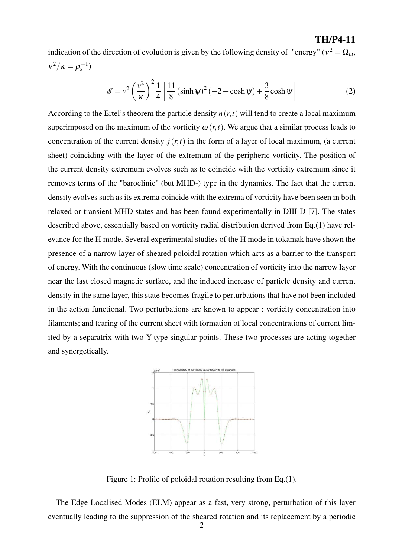indication of the direction of evolution is given by the following density of "energy" ( $v^2 = \Omega_{ci}$ )  $v^2/\kappa = \rho_s^{-1}$ 

$$
\mathcal{E} = v^2 \left(\frac{v^2}{\kappa}\right)^2 \frac{1}{4} \left[\frac{11}{8} \left(\sinh \psi\right)^2 \left(-2 + \cosh \psi\right) + \frac{3}{8} \cosh \psi\right]
$$
 (2)

**TH/P4-11**

According to the Ertel's theorem the particle density  $n(r,t)$  will tend to create a local maximum superimposed on the maximum of the vorticity  $\omega(r,t)$ . We argue that a similar process leads to concentration of the current density  $j(r,t)$  in the form of a layer of local maximum, (a current sheet) coinciding with the layer of the extremum of the peripheric vorticity. The position of the current density extremum evolves such as to coincide with the vorticity extremum since it removes terms of the "baroclinic" (but MHD-) type in the dynamics. The fact that the current density evolves such as its extrema coincide with the extrema of vorticity have been seen in both relaxed or transient MHD states and has been found experimentally in DIII-D [7]. The states described above, essentially based on vorticity radial distribution derived from Eq.(1) have relevance for the H mode. Several experimental studies of the H mode in tokamak have shown the presence of a narrow layer of sheared poloidal rotation which acts as a barrier to the transport of energy. With the continuous (slow time scale) concentration of vorticity into the narrow layer near the last closed magnetic surface, and the induced increase of particle density and current density in the same layer, this state becomes fragile to perturbations that have not been included in the action functional. Two perturbations are known to appear : vorticity concentration into filaments; and tearing of the current sheet with formation of local concentrations of current limited by a separatrix with two Y-type singular points. These two processes are acting together and synergetically.



Figure 1: Profile of poloidal rotation resulting from Eq.(1).

The Edge Localised Modes (ELM) appear as a fast, very strong, perturbation of this layer eventually leading to the suppression of the sheared rotation and its replacement by a periodic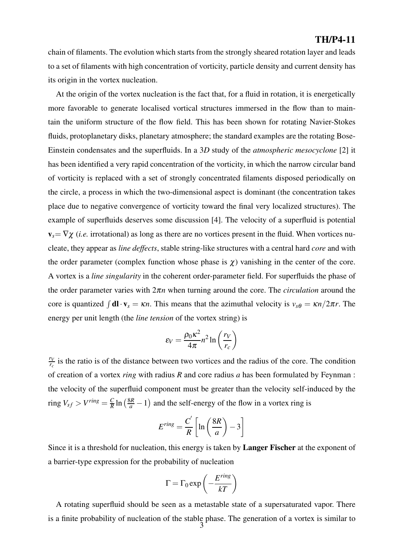chain of filaments. The evolution which starts from the strongly sheared rotation layer and leads to a set of filaments with high concentration of vorticity, particle density and current density has its origin in the vortex nucleation.

At the origin of the vortex nucleation is the fact that, for a fluid in rotation, it is energetically more favorable to generate localised vortical structures immersed in the flow than to maintain the uniform structure of the flow field. This has been shown for rotating Navier-Stokes fluids, protoplanetary disks, planetary atmosphere; the standard examples are the rotating Bose-Einstein condensates and the superfluids. In a 3*D* study of the *atmospheric mesocyclone* [2] it has been identified a very rapid concentration of the vorticity, in which the narrow circular band of vorticity is replaced with a set of strongly concentrated filaments disposed periodically on the circle, a process in which the two-dimensional aspect is dominant (the concentration takes place due to negative convergence of vorticity toward the final very localized structures). The example of superfluids deserves some discussion [4]. The velocity of a superfluid is potential  $\mathbf{v}_s = \nabla \chi$  (*i.e.* irrotational) as long as there are no vortices present in the fluid. When vortices nucleate, they appear as *line deffects*, stable string-like structures with a central hard *core* and with the order parameter (complex function whose phase is  $\chi$ ) vanishing in the center of the core. A vortex is a *line singularity* in the coherent order-parameter field. For superfluids the phase of the order parameter varies with 2π*n* when turning around the core. The *circulation* around the core is quantized  $\int d\mathbf{l} \cdot \mathbf{v}_s = \kappa n$ . This means that the azimuthal velocity is  $v_{s\theta} = \kappa n/2\pi r$ . The energy per unit length (the *line tension* of the vortex string) is

$$
\varepsilon_V = \frac{\rho_0 \kappa^2}{4\pi} n^2 \ln\left(\frac{r_V}{r_c}\right)
$$

 $\frac{rv}{r_c}$  is the ratio is of the distance between two vortices and the radius of the core. The condition of creation of a vortex *ring* with radius *R* and core radius *a* has been formulated by Feynman : the velocity of the superfluid component must be greater than the velocity self-induced by the ring  $V_{sf} > V^{ring} = \frac{C}{R} \ln \left( \frac{8R}{a} - 1 \right)$  and the self-energy of the flow in a vortex ring is

$$
E^{ring} = \frac{C'}{R} \left[ \ln \left( \frac{8R}{a} \right) - 3 \right]
$$

Since it is a threshold for nucleation, this energy is taken by **Langer Fischer** at the exponent of a barrier-type expression for the probability of nucleation

$$
\Gamma = \Gamma_0 \exp\left(-\frac{E^{ring}}{kT}\right)
$$

A rotating superfluid should be seen as a metastable state of a supersaturated vapor. There is a finite probability of nucleation of the stable phase. The generation of a vortex is similar to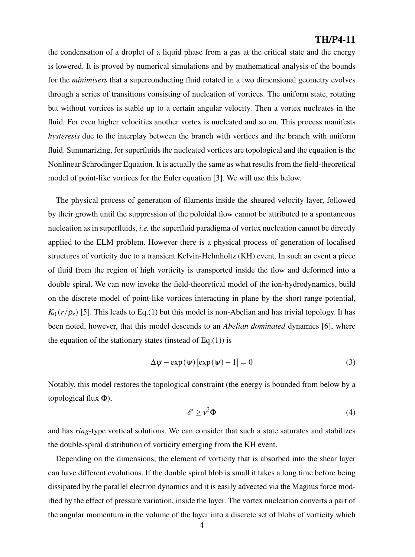the condensation of a droplet of a liquid phase from a gas at the critical state and the energy is lowered. It is proved by numerical simulations and by mathematical analysis of the bounds for the *minimisers* that a superconducting fluid rotated in a two dimensional geometry evolves through a series of transitions consisting of nucleation of vortices. The uniform state, rotating but without vortices is stable up to a certain angular velocity. Then a vortex nucleates in the fluid. For even higher velocities another vortex is nucleated and so on. This process manifests *hysteresis* due to the interplay between the branch with vortices and the branch with uniform fluid. Summarizing, for superfluids the nucleated vortices are topological and the equation is the Nonlinear Schrodinger Equation. It is actually the same as what results from the field-theoretical model of point-like vortices for the Euler equation [3]. We will use this below.

The physical process of generation of filaments inside the sheared velocity layer, followed by their growth until the suppression of the poloidal flow cannot be attributed to a spontaneous nucleation as in superfluids, *i.e.* the superfluid paradigma of vortex nucleation cannot be directly applied to the ELM problem. However there is a physical process of generation of localised structures of vorticity due to a transient Kelvin-Helmholtz (KH) event. In such an event a piece of fluid from the region of high vorticity is transported inside the flow and deformed into a double spiral. We can now invoke the field-theoretical model of the ion-hydrodynamics, build on the discrete model of point-like vortices interacting in plane by the short range potential,  $K_0(r/\rho_s)$  [5]. This leads to Eq.(1) but this model is non-Abelian and has trivial topology. It has been noted, however, that this model descends to an *Abelian dominated* dynamics [6], where the equation of the stationary states (instead of Eq.(1)) is

$$
\Delta \psi - \exp(\psi) [\exp(\psi) - 1] = 0 \tag{3}
$$

Notably, this model restores the topological constraint (the energy is bounded from below by a topological flux Φ),

$$
\mathscr{E} \ge \nu^2 \Phi \tag{4}
$$

and has *ring*-type vortical solutions. We can consider that such a state saturates and stabilizes the double-spiral distribution of vorticity emerging from the KH event.

Depending on the dimensions, the element of vorticity that is absorbed into the shear layer can have different evolutions. If the double spiral blob is small it takes a long time before being dissipated by the parallel electron dynamics and it is easily advected via the Magnus force modified by the effect of pressure variation, inside the layer. The vortex nucleation converts a part of the angular momentum in the volume of the layer into a discrete set of blobs of vorticity which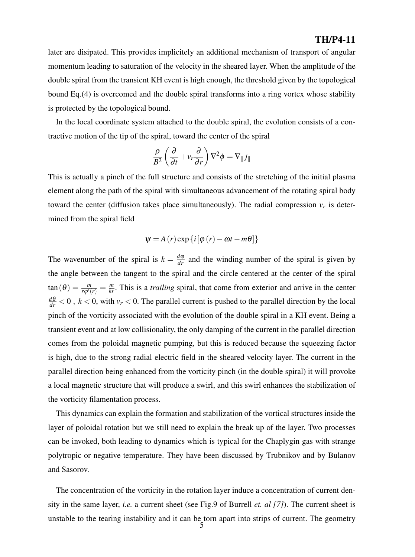later are disipated. This provides implicitely an additional mechanism of transport of angular momentum leading to saturation of the velocity in the sheared layer. When the amplitude of the double spiral from the transient KH event is high enough, the threshold given by the topological bound Eq.(4) is overcomed and the double spiral transforms into a ring vortex whose stability is protected by the topological bound.

In the local coordinate system attached to the double spiral, the evolution consists of a contractive motion of the tip of the spiral, toward the center of the spiral

$$
\frac{\rho}{B^2} \left( \frac{\partial}{\partial t} + v_r \frac{\partial}{\partial r} \right) \nabla^2 \phi = \nabla_{\parallel} j_{\parallel}
$$

This is actually a pinch of the full structure and consists of the stretching of the initial plasma element along the path of the spiral with simultaneous advancement of the rotating spiral body toward the center (diffusion takes place simultaneously). The radial compression  $v_r$  is determined from the spiral field

$$
\psi = A(r) \exp \{i [\varphi(r) - \omega t - m\theta]\}
$$

The wavenumber of the spiral is  $k = \frac{d\varphi}{dr}$  and the winding number of the spiral is given by the angle between the tangent to the spiral and the circle centered at the center of the spiral  $tan(\theta) = \frac{m}{r\varphi'(r)} = \frac{m}{kr}$ . This is a *trailing* spiral, that come from exterior and arrive in the center  $\frac{d\theta}{dr}$  < 0, *k* < 0, with *v<sub>r</sub>* < 0. The parallel current is pushed to the parallel direction by the local pinch of the vorticity associated with the evolution of the double spiral in a KH event. Being a transient event and at low collisionality, the only damping of the current in the parallel direction comes from the poloidal magnetic pumping, but this is reduced because the squeezing factor is high, due to the strong radial electric field in the sheared velocity layer. The current in the parallel direction being enhanced from the vorticity pinch (in the double spiral) it will provoke a local magnetic structure that will produce a swirl, and this swirl enhances the stabilization of the vorticity filamentation process.

This dynamics can explain the formation and stabilization of the vortical structures inside the layer of poloidal rotation but we still need to explain the break up of the layer. Two processes can be invoked, both leading to dynamics which is typical for the Chaplygin gas with strange polytropic or negative temperature. They have been discussed by Trubnikov and by Bulanov and Sasorov.

The concentration of the vorticity in the rotation layer induce a concentration of current density in the same layer, *i.e.* a current sheet (see Fig.9 of Burrell *et. al [7]*). The current sheet is unstable to the tearing instability and it can be torn apart into strips of current. The geometry  $\frac{5}{9}$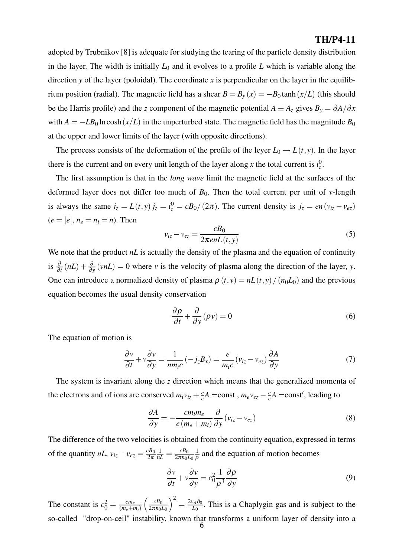adopted by Trubnikov [8] is adequate for studying the tearing of the particle density distribution in the layer. The width is initially  $L_0$  and it evolves to a profile  $L$  which is variable along the direction *y* of the layer (poloidal). The coordinate *x* is perpendicular on the layer in the equilibrium position (radial). The magnetic field has a shear  $B = B_y(x) = -B_0 \tanh(x/L)$  (this should be the Harris profile) and the *z* component of the magnetic potential  $A \equiv A_z$  gives  $B_y = \partial A/\partial x$ with  $A = -LB_0 \ln \cosh(x/L)$  in the unperturbed state. The magnetic field has the magnitude  $B_0$ at the upper and lower limits of the layer (with opposite directions).

The process consists of the deformation of the profile of the leyer  $L_0 \rightarrow L(t, y)$ . In the layer there is the current and on every unit length of the layer along *x* the total current is  $i^0_z$ .

The first assumption is that in the *long wave* limit the magnetic field at the surfaces of the deformed layer does not differ too much of *B*0. Then the total current per unit of *y*-length is always the same  $i_z = L(t, y) j_z = i_z^0 = cB_0/(2\pi)$ . The current density is  $j_z = en(v_{iz} - v_{ez})$  $(e = |e|, n_e = n_i = n)$ . Then

$$
v_{iz} - v_{ez} = \frac{cB_0}{2\pi enL(t, y)}
$$
\n<sup>(5)</sup>

We note that the product *nL* is actually the density of the plasma and the equation of continuity is  $\frac{\partial}{\partial t}(nL) + \frac{\partial}{\partial y}(v nL) = 0$  where *v* is the velocity of plasma along the direction of the layer, *y*. One can introduce a normalized density of plasma  $\rho(t, y) = nL(t, y)/(n_0L_0)$  and the previous equation becomes the usual density conservation

$$
\frac{\partial \rho}{\partial t} + \frac{\partial}{\partial y} (\rho v) = 0 \tag{6}
$$

The equation of motion is

$$
\frac{\partial v}{\partial t} + v \frac{\partial v}{\partial y} = \frac{1}{nm_i c} \left( -j_z B_x \right) = \frac{e}{m_i c} \left( v_{iz} - v_{ez} \right) \frac{\partial A}{\partial y}
$$
(7)

The system is invariant along the *z* direction which means that the generalized momenta of the electrons and of ions are conserved  $m_i v_{iz} + \frac{e}{c}A$  =const,  $m_e v_{ez} - \frac{e}{c}A$  =const', leading to

$$
\frac{\partial A}{\partial y} = -\frac{cm_i m_e}{e(m_e + m_i)} \frac{\partial}{\partial y} (v_{iz} - v_{ez})
$$
(8)

The difference of the two velocities is obtained from the continuity equation, expressed in terms of the quantity  $nL$ ,  $v_{iz} - v_{ez} = \frac{cB_0}{2\pi}$  $\frac{1}{nL} = \frac{cB_0}{2\pi n_0L_0}$  $\frac{1}{\rho}$  and the equation of motion becomes

$$
\frac{\partial v}{\partial t} + v \frac{\partial v}{\partial y} = c_0^2 \frac{1}{\rho^3} \frac{\partial \rho}{\partial y}
$$
(9)

The constant is  $c_0^2 = \frac{cm_e}{(m_e + m_i)}$  $\int$   $\frac{cB_0}{a}$  $2\pi n_0L_0$  $\int_{0}^{2} = \frac{2v_A \delta_0}{L_0}$ . This is a Chaplygin gas and is subject to the so-called "drop-on-ceil" instability, known that transforms a uniform layer of density into a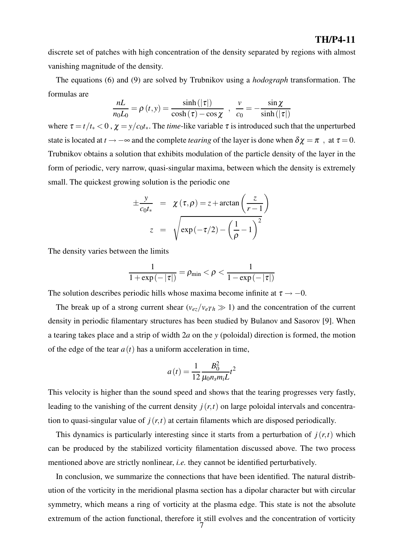discrete set of patches with high concentration of the density separated by regions with almost vanishing magnitude of the density.

The equations (6) and (9) are solved by Trubnikov using a *hodograph* transformation. The formulas are

$$
\frac{nL}{n_0L_0} = \rho(t, y) = \frac{\sinh(|\tau|)}{\cosh(\tau) - \cos\chi} , \frac{v}{c_0} = -\frac{\sin\chi}{\sinh(|\tau|)}
$$

where  $\tau = t/t_* < 0$ ,  $\chi = y/c_0t_*$ . The *time*-like variable  $\tau$  is introduced such that the unperturbed state is located at *t* →  $-\infty$  and the complete *tearing* of the layer is done when  $\delta \chi = \pi$ , at  $\tau = 0$ . Trubnikov obtains a solution that exhibits modulation of the particle density of the layer in the form of periodic, very narrow, quasi-singular maxima, between which the density is extremely small. The quickest growing solution is the periodic one

$$
\pm \frac{y}{c_0 t_*} = \chi(\tau, \rho) = z + \arctan\left(\frac{z}{r-1}\right)
$$

$$
z = \sqrt{\exp(-\tau/2) - \left(\frac{1}{\rho} - 1\right)^2}
$$

The density varies between the limits

$$
\frac{1}{1+\exp\left(-\left|\tau\right|\right)}=\rho_{\min}<\rho<\frac{1}{1-\exp\left(-\left|\tau\right|\right)}
$$

The solution describes periodic hills whose maxima become infinite at  $\tau \rightarrow -0$ .

The break up of a strong current shear ( $v_{ez}/v_{eTh} \gg 1$ ) and the concentration of the current density in periodic filamentary structures has been studied by Bulanov and Sasorov [9]. When a tearing takes place and a strip of width 2*a* on the *y* (poloidal) direction is formed, the motion of the edge of the tear  $a(t)$  has a uniform acceleration in time,

$$
a(t) = \frac{1}{12} \frac{B_0^2}{\mu_0 n_s m_i L} t^2
$$

This velocity is higher than the sound speed and shows that the tearing progresses very fastly, leading to the vanishing of the current density  $j(r,t)$  on large poloidal intervals and concentration to quasi-singular value of  $j(r,t)$  at certain filaments which are disposed periodically.

This dynamics is particularly interesting since it starts from a perturbation of  $j(r,t)$  which can be produced by the stabilized vorticity filamentation discussed above. The two process mentioned above are strictly nonlinear, *i.e.* they cannot be identified perturbatively.

In conclusion, we summarize the connections that have been identified. The natural distribution of the vorticity in the meridional plasma section has a dipolar character but with circular symmetry, which means a ring of vorticity at the plasma edge. This state is not the absolute extremum of the action functional, therefore it still evolves and the concentration of vorticity